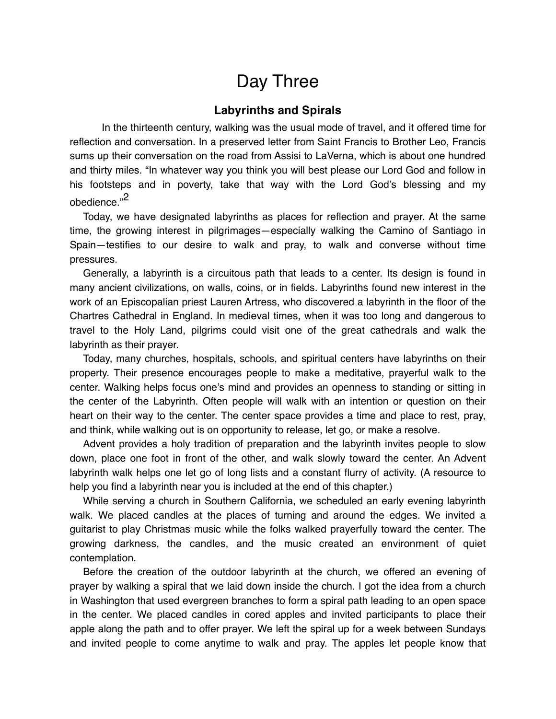## Day Three

## **Labyrinths and Spirals**

In the thirteenth century, walking was the usual mode of travel, and it offered time for reflection and conversation. In a preserved letter from Saint Francis to Brother Leo, Francis sums up their conversation on the road from Assisi to LaVerna, which is about one hundred and thirty miles. "In whatever way you think you will best please our Lord God and follow in his footsteps and in poverty, take that way with the Lord God's blessing and my obedience."2

Today, we have designated labyrinths as places for reflection and prayer. At the same time, the growing interest in pilgrimages—especially walking the Camino of Santiago in Spain—testifies to our desire to walk and pray, to walk and converse without time pressures.

Generally, a labyrinth is a circuitous path that leads to a center. Its design is found in many ancient civilizations, on walls, coins, or in fields. Labyrinths found new interest in the work of an Episcopalian priest Lauren Artress, who discovered a labyrinth in the floor of the Chartres Cathedral in England. In medieval times, when it was too long and dangerous to travel to the Holy Land, pilgrims could visit one of the great cathedrals and walk the labyrinth as their prayer.

Today, many churches, hospitals, schools, and spiritual centers have labyrinths on their property. Their presence encourages people to make a meditative, prayerful walk to the center. Walking helps focus one's mind and provides an openness to standing or sitting in the center of the Labyrinth. Often people will walk with an intention or question on their heart on their way to the center. The center space provides a time and place to rest, pray, and think, while walking out is on opportunity to release, let go, or make a resolve.

Advent provides a holy tradition of preparation and the labyrinth invites people to slow down, place one foot in front of the other, and walk slowly toward the center. An Advent labyrinth walk helps one let go of long lists and a constant flurry of activity. (A resource to help you find a labyrinth near you is included at the end of this chapter.)

While serving a church in Southern California, we scheduled an early evening labyrinth walk. We placed candles at the places of turning and around the edges. We invited a guitarist to play Christmas music while the folks walked prayerfully toward the center. The growing darkness, the candles, and the music created an environment of quiet contemplation.

Before the creation of the outdoor labyrinth at the church, we offered an evening of prayer by walking a spiral that we laid down inside the church. I got the idea from a church in Washington that used evergreen branches to form a spiral path leading to an open space in the center. We placed candles in cored apples and invited participants to place their apple along the path and to offer prayer. We left the spiral up for a week between Sundays and invited people to come anytime to walk and pray. The apples let people know that